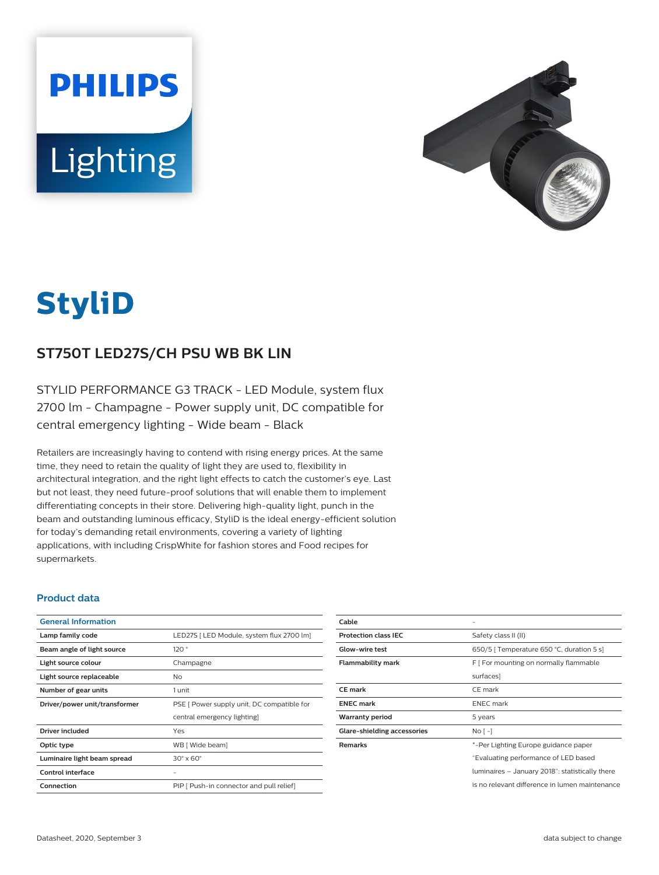



# **StyliD**

# **ST750T LED27S/CH PSU WB BK LIN**

STYLID PERFORMANCE G3 TRACK - LED Module, system flux 2700 lm - Champagne - Power supply unit, DC compatible for central emergency lighting - Wide beam - Black

Retailers are increasingly having to contend with rising energy prices. At the same time, they need to retain the quality of light they are used to, flexibility in architectural integration, and the right light effects to catch the customer's eye. Last but not least, they need future-proof solutions that will enable them to implement differentiating concepts in their store. Delivering high-quality light, punch in the beam and outstanding luminous efficacy, StyliD is the ideal energy-efficient solution for today's demanding retail environments, covering a variety of lighting applications, with including CrispWhite for fashion stores and Food recipes for supermarkets.

#### **Product data**

| <b>General Information</b>    |                                            |
|-------------------------------|--------------------------------------------|
| Lamp family code              | LED27S   LED Module, system flux 2700 lm]  |
| Beam angle of light source    | 120°                                       |
| Light source colour           | Champagne                                  |
| Light source replaceable      | No.                                        |
| Number of gear units          | 1 unit                                     |
| Driver/power unit/transformer | PSE [ Power supply unit, DC compatible for |
|                               | central emergency lighting]                |
| Driver included               | Yes                                        |
| Optic type                    | WB [ Wide beam]                            |
| Luminaire light beam spread   | $30^\circ \times 60^\circ$                 |
| Control interface             |                                            |
| Connection                    | PIP [ Push-in connector and pull relief]   |

| Cable                       |                                                 |
|-----------------------------|-------------------------------------------------|
| <b>Protection class IEC</b> | Safety class II (II)                            |
| <b>Glow-wire test</b>       | 650/5   Temperature 650 °C, duration 5 s]       |
| <b>Flammability mark</b>    | F [ For mounting on normally flammable          |
|                             | surfaces]                                       |
| <b>CE</b> mark              | CE mark                                         |
| <b>ENEC</b> mark            | <b>ENEC</b> mark                                |
| <b>Warranty period</b>      | 5 years                                         |
| Glare-shielding accessories | No [ -]                                         |
| <b>Remarks</b>              | *-Per Lighting Europe guidance paper            |
|                             | "Evaluating performance of LED based            |
|                             | luminaires – January 2018": statistically there |
|                             | is no relevant difference in lumen maintenance  |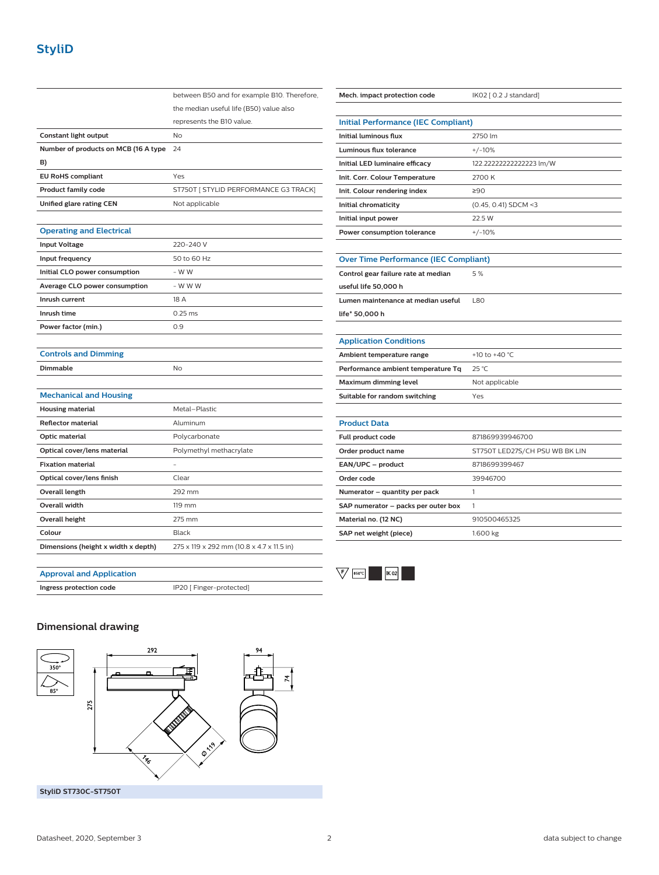|                                      | between B50 and for example B10. Therefore, |
|--------------------------------------|---------------------------------------------|
|                                      | the median useful life (B50) value also     |
|                                      | represents the B10 value.                   |
| <b>Constant light output</b>         | <b>No</b>                                   |
| Number of products on MCB (16 A type | 24                                          |
| B)                                   |                                             |
| <b>EU RoHS compliant</b>             | Yes                                         |
| Product family code                  | ST750T [ STYLID PERFORMANCE G3 TRACK]       |
| Unified glare rating CEN             | Not applicable                              |
|                                      |                                             |
| <b>Operating and Electrical</b>      |                                             |
| <b>Input Voltage</b>                 | 220-240 V                                   |
| Input frequency                      | 50 to 60 Hz                                 |
| Initial CLO power consumption        | - W W                                       |
| Average CLO power consumption        | - W W W                                     |
| Inrush current                       | 18 A                                        |
| Inrush time                          | $0.25$ ms                                   |
| Power factor (min.)                  | 0.9                                         |
|                                      |                                             |
| <b>Controls and Dimming</b>          |                                             |
| Dimmable                             | No                                          |
|                                      |                                             |
| <b>Mechanical and Housing</b>        |                                             |
| <b>Housing material</b>              | Metal-Plastic                               |
| <b>Reflector material</b>            | Aluminum                                    |
| Optic material                       | Polycarbonate                               |
| Optical cover/lens material          | Polymethyl methacrylate                     |
| <b>Fixation material</b>             |                                             |
| Optical cover/lens finish            | Clear                                       |
| <b>Overall length</b>                | 292 mm                                      |
| Overall width                        | 119 mm                                      |
| <b>Overall height</b>                | 275 mm                                      |
| Colour                               | <b>Black</b>                                |
| Dimensions (height x width x depth)  | 275 x 119 x 292 mm (10.8 x 4.7 x 11.5 in)   |

| Mech. impact protection code                 | IK02 [ 0.2 J standard]         |  |
|----------------------------------------------|--------------------------------|--|
|                                              |                                |  |
| <b>Initial Performance (IEC Compliant)</b>   |                                |  |
| <b>Initial luminous flux</b>                 | 2750 lm                        |  |
| <b>Luminous flux tolerance</b>               | $+/-10%$                       |  |
| Initial LED luminaire efficacy               | 122.22222222222223 lm/W        |  |
| Init. Corr. Colour Temperature               | 2700 K                         |  |
| Init. Colour rendering index                 | ≥90                            |  |
| Initial chromaticity                         | $(0.45, 0.41)$ SDCM <3         |  |
| Initial input power                          | 22.5 W                         |  |
| Power consumption tolerance                  | $+/-10%$                       |  |
|                                              |                                |  |
| <b>Over Time Performance (IEC Compliant)</b> |                                |  |
| Control gear failure rate at median          | 5%                             |  |
| useful life 50,000 h                         |                                |  |
| Lumen maintenance at median useful           | <b>L80</b>                     |  |
| life* 50,000 h                               |                                |  |
|                                              |                                |  |
| <b>Application Conditions</b>                |                                |  |
| Ambient temperature range                    | +10 to +40 °C                  |  |
| Performance ambient temperature Tq           | 25 °C                          |  |
| <b>Maximum dimming level</b>                 | Not applicable                 |  |
| Suitable for random switching                | Yes                            |  |
|                                              |                                |  |
| <b>Product Data</b>                          |                                |  |
| Full product code                            | 871869939946700                |  |
| Order product name                           | ST750T LED27S/CH PSU WB BK LIN |  |
| EAN/UPC - product                            | 8718699399467                  |  |
| Order code                                   | 39946700                       |  |
| Numerator - quantity per pack                | 1                              |  |
| SAP numerator - packs per outer box          | 1                              |  |
| Material no. (12 NC)                         | 910500465325                   |  |
| SAP net weight (piece)                       | 1.600 kg                       |  |
|                                              |                                |  |

#### **Approval and Application**

**Ingress protection code** IP20 [ Finger-protected]

#### $\overline{\nabla}$  650°C  $\overline{\phantom{1}}$   $\overline{\phantom{1}}$   $\overline{\phantom{1}}$   $\overline{\phantom{1}}$   $\overline{\phantom{1}}$   $\overline{\phantom{1}}$   $\overline{\phantom{1}}$   $\overline{\phantom{1}}$   $\overline{\phantom{1}}$   $\overline{\phantom{1}}$   $\overline{\phantom{1}}$   $\overline{\phantom{1}}$   $\overline{\phantom{1}}$   $\overline{\phantom{1}}$   $\overline{\phantom{1}}$   $\overline{\phantom{1}}$   $\overline{\phantom{1}}$   $\overline{\phantom{1}}$   $\overline{\$

### **Dimensional drawing**